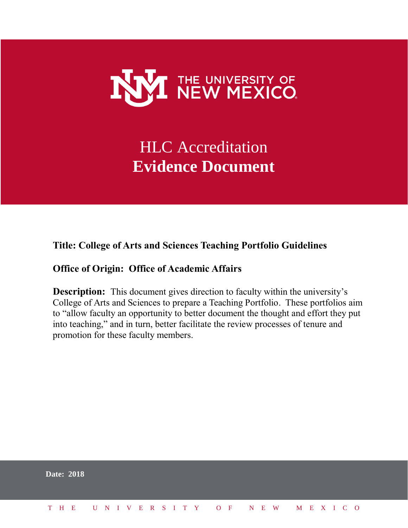

# HLC Accreditation **Evidence Document**

## **Title: College of Arts and Sciences Teaching Portfolio Guidelines**

## **Office of Origin: Office of Academic Affairs**

**Description:** This document gives direction to faculty within the university's College of Arts and Sciences to prepare a Teaching Portfolio. These portfolios aim to "allow faculty an opportunity to better document the thought and effort they put into teaching," and in turn, better facilitate the review processes of tenure and promotion for these faculty members.

|  | <b>Date: 2018</b> |  |  |  |  |  |  |  |  |                          |  |  |  |  |
|--|-------------------|--|--|--|--|--|--|--|--|--------------------------|--|--|--|--|
|  | T H E             |  |  |  |  |  |  |  |  | UNIVERSITY OF NEW MEXICO |  |  |  |  |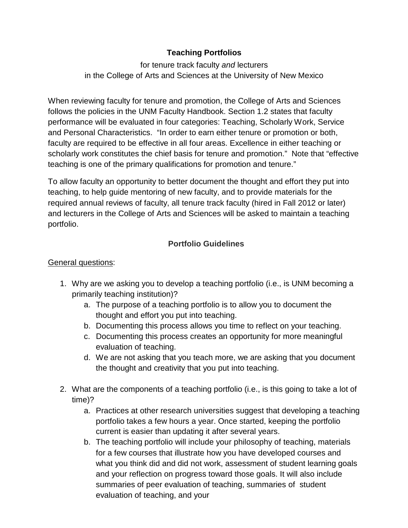## **Teaching Portfolios**

for tenure track faculty *and* lecturers in the College of Arts and Sciences at the University of New Mexico

When reviewing faculty for tenure and promotion, the College of Arts and Sciences follows the policies in the UNM Faculty Handbook. Section 1.2 states that faculty performance will be evaluated in four categories: Teaching, Scholarly Work, Service and Personal Characteristics. "In order to earn either tenure or promotion or both, faculty are required to be effective in all four areas. Excellence in either teaching or scholarly work constitutes the chief basis for tenure and promotion." Note that "effective teaching is one of the primary qualifications for promotion and tenure."

To allow faculty an opportunity to better document the thought and effort they put into teaching, to help guide mentoring of new faculty, and to provide materials for the required annual reviews of faculty, all tenure track faculty (hired in Fall 2012 or later) and lecturers in the College of Arts and Sciences will be asked to maintain a teaching portfolio.

## **Portfolio Guidelines**

#### General questions:

- 1. Why are we asking you to develop a teaching portfolio (i.e., is UNM becoming a primarily teaching institution)?
	- a. The purpose of a teaching portfolio is to allow you to document the thought and effort you put into teaching.
	- b. Documenting this process allows you time to reflect on your teaching.
	- c. Documenting this process creates an opportunity for more meaningful evaluation of teaching.
	- d. We are not asking that you teach more, we are asking that you document the thought and creativity that you put into teaching.
- 2. What are the components of a teaching portfolio (i.e., is this going to take a lot of time)?
	- a. Practices at other research universities suggest that developing a teaching portfolio takes a few hours a year. Once started, keeping the portfolio current is easier than updating it after several years.
	- b. The teaching portfolio will include your philosophy of teaching, materials for a few courses that illustrate how you have developed courses and what you think did and did not work, assessment of student learning goals and your reflection on progress toward those goals. It will also include summaries of peer evaluation of teaching, summaries of student evaluation of teaching, and your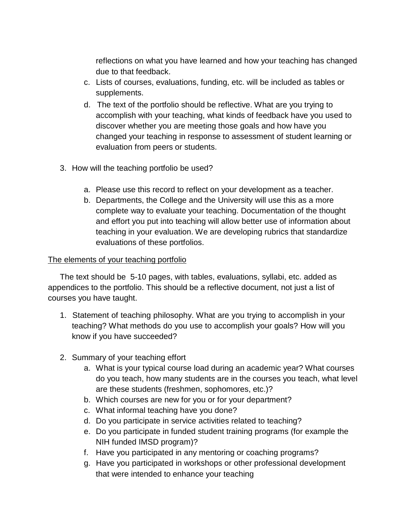reflections on what you have learned and how your teaching has changed due to that feedback.

- c. Lists of courses, evaluations, funding, etc. will be included as tables or supplements.
- d. The text of the portfolio should be reflective. What are you trying to accomplish with your teaching, what kinds of feedback have you used to discover whether you are meeting those goals and how have you changed your teaching in response to assessment of student learning or evaluation from peers or students.
- 3. How will the teaching portfolio be used?
	- a. Please use this record to reflect on your development as a teacher.
	- b. Departments, the College and the University will use this as a more complete way to evaluate your teaching. Documentation of the thought and effort you put into teaching will allow better use of information about teaching in your evaluation. We are developing rubrics that standardize evaluations of these portfolios.

#### The elements of your teaching portfolio

The text should be 5-10 pages, with tables, evaluations, syllabi, etc. added as appendices to the portfolio. This should be a reflective document, not just a list of courses you have taught.

- 1. Statement of teaching philosophy. What are you trying to accomplish in your teaching? What methods do you use to accomplish your goals? How will you know if you have succeeded?
- 2. Summary of your teaching effort
	- a. What is your typical course load during an academic year? What courses do you teach, how many students are in the courses you teach, what level are these students (freshmen, sophomores, etc.)?
	- b. Which courses are new for you or for your department?
	- c. What informal teaching have you done?
	- d. Do you participate in service activities related to teaching?
	- e. Do you participate in funded student training programs (for example the NIH funded IMSD program)?
	- f. Have you participated in any mentoring or coaching programs?
	- g. Have you participated in workshops or other professional development that were intended to enhance your teaching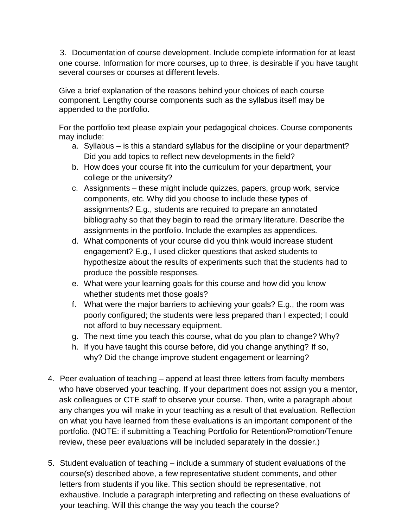3. Documentation of course development. Include complete information for at least one course. Information for more courses, up to three, is desirable if you have taught several courses or courses at different levels.

Give a brief explanation of the reasons behind your choices of each course component. Lengthy course components such as the syllabus itself may be appended to the portfolio.

For the portfolio text please explain your pedagogical choices. Course components may include:

- a. Syllabus is this a standard syllabus for the discipline or your department? Did you add topics to reflect new developments in the field?
- b. How does your course fit into the curriculum for your department, your college or the university?
- c. Assignments these might include quizzes, papers, group work, service components, etc. Why did you choose to include these types of assignments? E.g., students are required to prepare an annotated bibliography so that they begin to read the primary literature. Describe the assignments in the portfolio. Include the examples as appendices.
- d. What components of your course did you think would increase student engagement? E.g., I used clicker questions that asked students to hypothesize about the results of experiments such that the students had to produce the possible responses.
- e. What were your learning goals for this course and how did you know whether students met those goals?
- f. What were the major barriers to achieving your goals? E.g., the room was poorly configured; the students were less prepared than I expected; I could not afford to buy necessary equipment.
- g. The next time you teach this course, what do you plan to change? Why?
- h. If you have taught this course before, did you change anything? If so, why? Did the change improve student engagement or learning?
- 4. Peer evaluation of teaching append at least three letters from faculty members who have observed your teaching. If your department does not assign you a mentor, ask colleagues or CTE staff to observe your course. Then, write a paragraph about any changes you will make in your teaching as a result of that evaluation. Reflection on what you have learned from these evaluations is an important component of the portfolio. (NOTE: if submitting a Teaching Portfolio for Retention/Promotion/Tenure review, these peer evaluations will be included separately in the dossier.)
- 5. Student evaluation of teaching include a summary of student evaluations of the course(s) described above, a few representative student comments, and other letters from students if you like. This section should be representative, not exhaustive. Include a paragraph interpreting and reflecting on these evaluations of your teaching. Will this change the way you teach the course?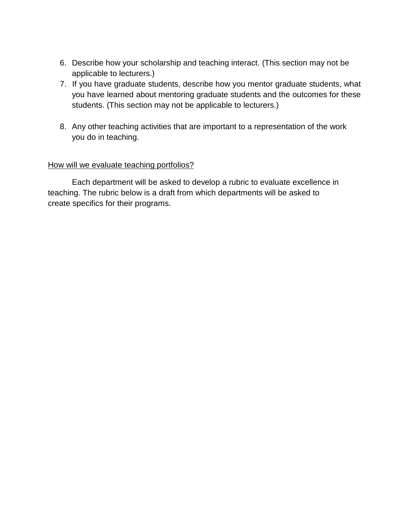- 6. Describe how your scholarship and teaching interact. (This section may not be applicable to lecturers.)
- 7. If you have graduate students, describe how you mentor graduate students, what you have learned about mentoring graduate students and the outcomes for these students. (This section may not be applicable to lecturers.)
- 8. Any other teaching activities that are important to a representation of the work you do in teaching.

#### How will we evaluate teaching portfolios?

Each department will be asked to develop a rubric to evaluate excellence in teaching. The rubric below is a draft from which departments will be asked to create specifics for their programs.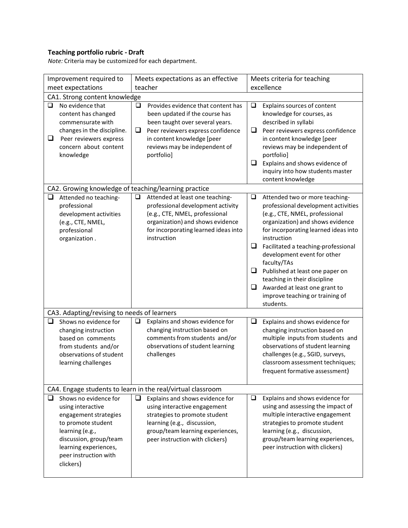### **Teaching portfolio rubric - Draft**

*Note:* Criteria may be customized for each department.

| Improvement required to                                                                                                                                                                                    | Meets expectations as an effective                                                                                                                                                                                                       | Meets criteria for teaching                                                                                                                                                                                                                                                                                                                                                                                                                                          |  |  |  |  |  |  |  |  |  |
|------------------------------------------------------------------------------------------------------------------------------------------------------------------------------------------------------------|------------------------------------------------------------------------------------------------------------------------------------------------------------------------------------------------------------------------------------------|----------------------------------------------------------------------------------------------------------------------------------------------------------------------------------------------------------------------------------------------------------------------------------------------------------------------------------------------------------------------------------------------------------------------------------------------------------------------|--|--|--|--|--|--|--|--|--|
| meet expectations                                                                                                                                                                                          | teacher                                                                                                                                                                                                                                  | excellence                                                                                                                                                                                                                                                                                                                                                                                                                                                           |  |  |  |  |  |  |  |  |  |
| CA1. Strong content knowledge                                                                                                                                                                              |                                                                                                                                                                                                                                          |                                                                                                                                                                                                                                                                                                                                                                                                                                                                      |  |  |  |  |  |  |  |  |  |
| No evidence that<br>❏<br>content has changed<br>commensurate with<br>changes in the discipline.<br>□<br>Peer reviewers express<br>concern about content<br>knowledge                                       | Provides evidence that content has<br>❏<br>been updated if the course has<br>been taught over several years.<br>$\Box$<br>Peer reviewers express confidence<br>in content knowledge [peer<br>reviews may be independent of<br>portfolio] | Explains sources of content<br>❏<br>knowledge for courses, as<br>described in syllabi<br>❏<br>Peer reviewers express confidence<br>in content knowledge [peer<br>reviews may be independent of<br>portfolio]<br>❏<br>Explains and shows evidence of<br>inquiry into how students master<br>content knowledge                                                                                                                                                         |  |  |  |  |  |  |  |  |  |
| CA2. Growing knowledge of teaching/learning practice                                                                                                                                                       |                                                                                                                                                                                                                                          |                                                                                                                                                                                                                                                                                                                                                                                                                                                                      |  |  |  |  |  |  |  |  |  |
| $\Box$<br>Attended no teaching-<br>professional<br>development activities<br>(e.g., CTE, NMEL,<br>professional<br>organization.                                                                            | Attended at least one teaching-<br>$\Box$<br>professional development activity<br>(e.g., CTE, NMEL, professional<br>organization) and shows evidence<br>for incorporating learned ideas into<br>instruction                              | $\Box$<br>Attended two or more teaching-<br>professional development activities<br>(e.g., CTE, NMEL, professional<br>organization) and shows evidence<br>for incorporating learned ideas into<br>instruction<br>❏<br>Facilitated a teaching-professional<br>development event for other<br>faculty/TAs<br>❏<br>Published at least one paper on<br>teaching in their discipline<br>❏<br>Awarded at least one grant to<br>improve teaching or training of<br>students. |  |  |  |  |  |  |  |  |  |
| CA3. Adapting/revising to needs of learners                                                                                                                                                                |                                                                                                                                                                                                                                          |                                                                                                                                                                                                                                                                                                                                                                                                                                                                      |  |  |  |  |  |  |  |  |  |
| ❏<br>Shows no evidence for<br>changing instruction<br>based on comments<br>from students and/or<br>observations of student<br>learning challenges                                                          | Explains and shows evidence for<br>$\Box$<br>changing instruction based on<br>comments from students and/or<br>observations of student learning<br>challenges                                                                            | $\Box$<br>Explains and shows evidence for<br>changing instruction based on<br>multiple inputs from students and<br>observations of student learning<br>challenges (e.g., SGID, surveys,<br>classroom assessment techniques;<br>frequent formative assessment)                                                                                                                                                                                                        |  |  |  |  |  |  |  |  |  |
| CA4. Engage students to learn in the real/virtual classroom                                                                                                                                                |                                                                                                                                                                                                                                          |                                                                                                                                                                                                                                                                                                                                                                                                                                                                      |  |  |  |  |  |  |  |  |  |
| Shows no evidence for<br>⊔<br>using interactive<br>engagement strategies<br>to promote student<br>learning (e.g.,<br>discussion, group/team<br>learning experiences,<br>peer instruction with<br>clickers) | $\Box$<br>Explains and shows evidence for<br>using interactive engagement<br>strategies to promote student<br>learning (e.g., discussion,<br>group/team learning experiences,<br>peer instruction with clickers)                         | $\Box$<br>Explains and shows evidence for<br>using and assessing the impact of<br>multiple interactive engagement<br>strategies to promote student<br>learning (e.g., discussion,<br>group/team learning experiences,<br>peer instruction with clickers)                                                                                                                                                                                                             |  |  |  |  |  |  |  |  |  |